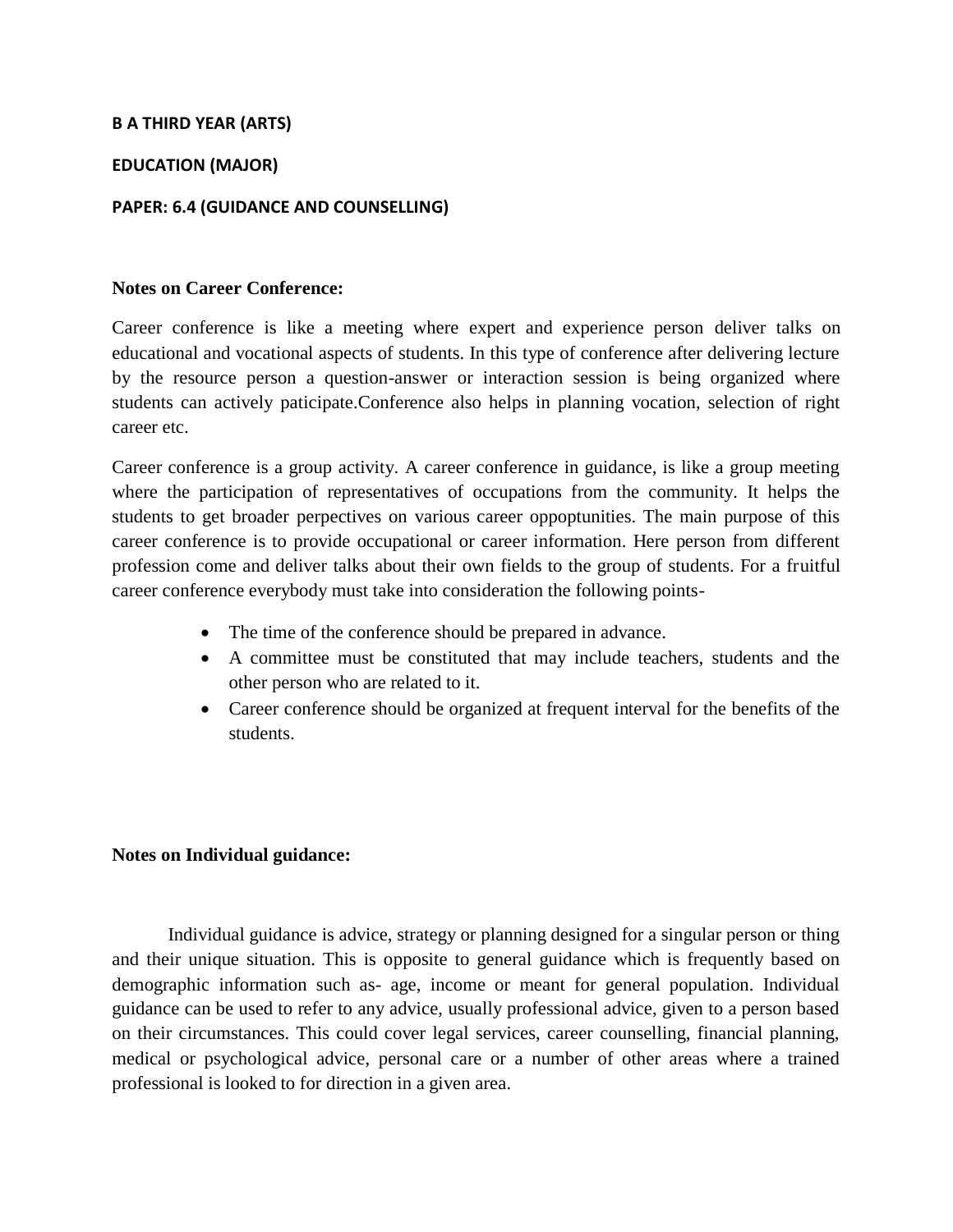# **B A THIRD YEAR (ARTS)**

## **EDUCATION (MAJOR)**

#### **PAPER: 6.4 (GUIDANCE AND COUNSELLING)**

#### **Notes on Career Conference:**

Career conference is like a meeting where expert and experience person deliver talks on educational and vocational aspects of students. In this type of conference after delivering lecture by the resource person a question-answer or interaction session is being organized where students can actively paticipate.Conference also helps in planning vocation, selection of right career etc.

Career conference is a group activity. A career conference in guidance, is like a group meeting where the participation of representatives of occupations from the community. It helps the students to get broader perpectives on various career oppoptunities. The main purpose of this career conference is to provide occupational or career information. Here person from different profession come and deliver talks about their own fields to the group of students. For a fruitful career conference everybody must take into consideration the following points-

- The time of the conference should be prepared in advance.
- A committee must be constituted that may include teachers, students and the other person who are related to it.
- Career conference should be organized at frequent interval for the benefits of the students.

# **Notes on Individual guidance:**

Individual guidance is advice, strategy or planning designed for a singular person or thing and their unique situation. This is opposite to general guidance which is frequently based on demographic information such as- age, income or meant for general population. Individual guidance can be used to refer to any advice, usually professional advice, given to a person based on their circumstances. This could cover legal services, career counselling, financial planning, medical or psychological advice, personal care or a number of other areas where a trained professional is looked to for direction in a given area.